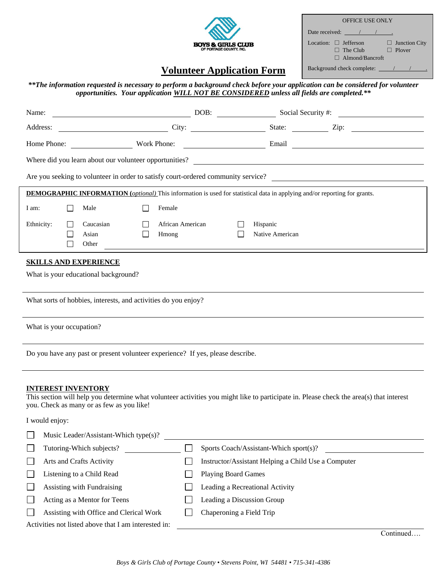

| <b>OFFICE USE ONLY</b>                                                                                           |
|------------------------------------------------------------------------------------------------------------------|
| Date received: $\sqrt{2}$                                                                                        |
| Location: $\Box$ Jefferson<br>$\Box$ Junction City<br>$\Box$ Plover<br>$\Box$ The Club<br>$\Box$ Almond/Bancroft |
| Background check complete: /                                                                                     |

# **Volunteer Application Form**

*\*\*The information requested is necessary to perform a background check before your application can be considered for volunteer opportunities. Your application WILL NOT BE CONSIDERED unless all fields are completed.\*\**

| Name:                                                                                                                                                                | DOB:                       | Social Security #:                                  |                                |
|----------------------------------------------------------------------------------------------------------------------------------------------------------------------|----------------------------|-----------------------------------------------------|--------------------------------|
| Address:                                                                                                                                                             |                            |                                                     | City: City: State: City: City: |
| Home Phone: Work Phone:                                                                                                                                              |                            |                                                     |                                |
|                                                                                                                                                                      |                            |                                                     |                                |
| Are you seeking to volunteer in order to satisfy court-ordered community service?                                                                                    |                            |                                                     |                                |
| <b>DEMOGRAPHIC INFORMATION</b> (optional) This information is used for statistical data in applying and/or reporting for grants.                                     |                            |                                                     |                                |
| Female<br>I am:<br>Male<br>$\perp$<br>$\perp$                                                                                                                        |                            |                                                     |                                |
|                                                                                                                                                                      |                            |                                                     |                                |
| Ethnicity:<br>Caucasian<br>Asian<br>Hmong                                                                                                                            | African American           | Hispanic<br>Native American                         |                                |
| Other                                                                                                                                                                |                            |                                                     |                                |
| <b>SKILLS AND EXPERIENCE</b>                                                                                                                                         |                            |                                                     |                                |
| What is your educational background?                                                                                                                                 |                            |                                                     |                                |
|                                                                                                                                                                      |                            |                                                     |                                |
| What sorts of hobbies, interests, and activities do you enjoy?                                                                                                       |                            |                                                     |                                |
| What is your occupation?                                                                                                                                             |                            |                                                     |                                |
|                                                                                                                                                                      |                            |                                                     |                                |
| Do you have any past or present volunteer experience? If yes, please describe.                                                                                       |                            |                                                     |                                |
|                                                                                                                                                                      |                            |                                                     |                                |
| <b>INTEREST INVENTORY</b><br>This section will help you determine what volunteer activities you might like to participate in. Please check the area(s) that interest |                            |                                                     |                                |
| you. Check as many or as few as you like!                                                                                                                            |                            |                                                     |                                |
| I would enjoy:                                                                                                                                                       |                            |                                                     |                                |
| Music Leader/Assistant-Which type(s)?                                                                                                                                |                            |                                                     |                                |
| Tutoring-Which subjects?                                                                                                                                             |                            | Sports Coach/Assistant-Which sport(s)?              |                                |
| Arts and Crafts Activity<br>$\Box$                                                                                                                                   |                            | Instructor/Assistant Helping a Child Use a Computer |                                |
| Listening to a Child Read<br>$\Box$                                                                                                                                  | <b>Playing Board Games</b> |                                                     |                                |
| Assisting with Fundraising<br>$\mathbf{L}$                                                                                                                           |                            | Leading a Recreational Activity                     |                                |
| Acting as a Mentor for Teens<br>$\Box$                                                                                                                               |                            | Leading a Discussion Group                          |                                |
| Assisting with Office and Clerical Work                                                                                                                              | Chaperoning a Field Trip   |                                                     |                                |
| Activities not listed above that I am interested in:                                                                                                                 |                            |                                                     |                                |

Continued….